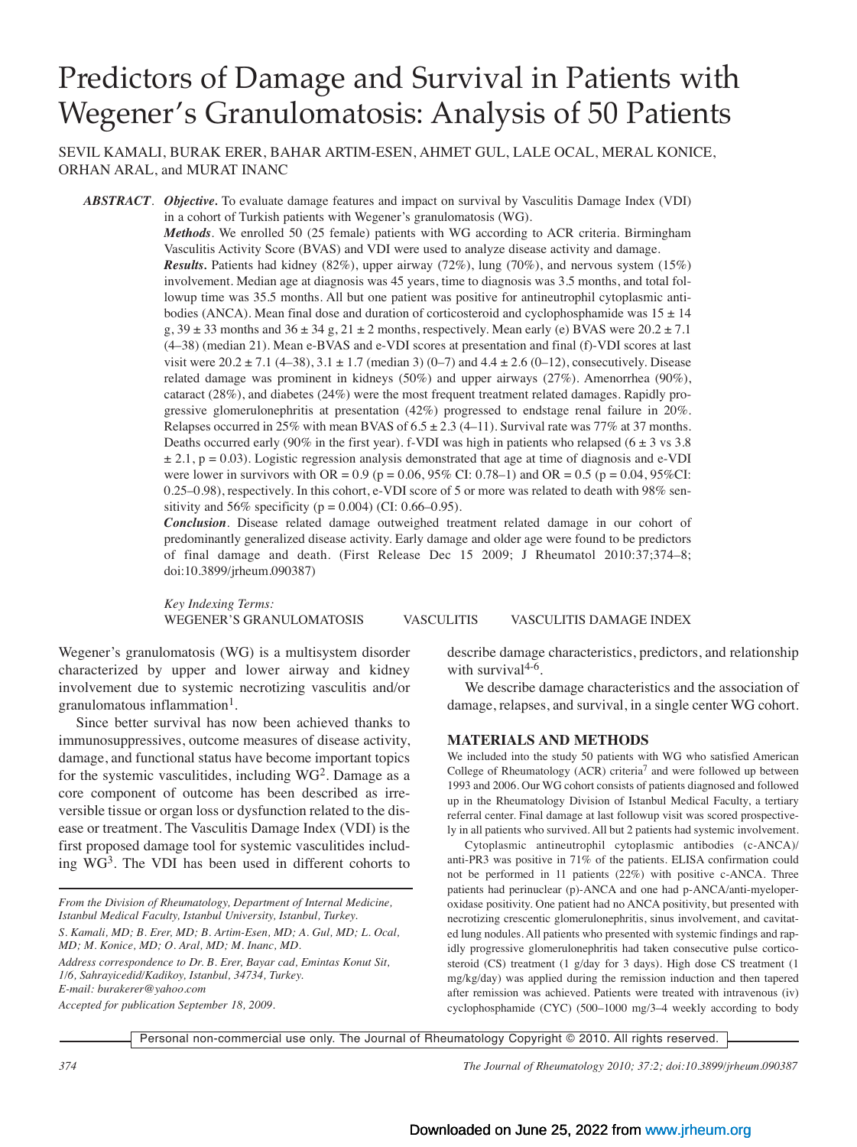# Predictors of Damage and Survival in Patients with Wegener's Granulomatosis: Analysis of 50 Patients

SEVIL KAMALI, BURAK ERER, BAHAR ARTIM-ESEN, AHMET GUL, LALE OCAL, MERAL KONICE, ORHAN ARAL, and MURAT INANC

*ABSTRACT*. *Objective.* To evaluate damage features and impact on survival by Vasculitis Damage Index (VDI) in a cohort of Turkish patients with Wegener's granulomatosis (WG).

> *Methods*. We enrolled 50 (25 female) patients with WG according to ACR criteria. Birmingham Vasculitis Activity Score (BVAS) and VDI were used to analyze disease activity and damage. *Results.* Patients had kidney (82%), upper airway (72%), lung (70%), and nervous system (15%) involvement. Median age at diagnosis was 45 years, time to diagnosis was 3.5 months, and total followup time was 35.5 months. All but one patient was positive for antineutrophil cytoplasmic antibodies (ANCA). Mean final dose and duration of corticosteroid and cyclophosphamide was  $15 \pm 14$ g,  $39 \pm 33$  months and  $36 \pm 34$  g,  $21 \pm 2$  months, respectively. Mean early (e) BVAS were  $20.2 \pm 7.1$ (4–38) (median 21). Mean e-BVAS and e-VDI scores at presentation and final (f)-VDI scores at last visit were  $20.2 \pm 7.1$  (4–38),  $3.1 \pm 1.7$  (median 3) (0–7) and  $4.4 \pm 2.6$  (0–12), consecutively. Disease related damage was prominent in kidneys (50%) and upper airways (27%). Amenorrhea (90%), cataract (28%), and diabetes (24%) were the most frequent treatment related damages. Rapidly progressive glomerulonephritis at presentation (42%) progressed to endstage renal failure in 20%. Relapses occurred in 25% with mean BVAS of  $6.5 \pm 2.3$  (4-11). Survival rate was 77% at 37 months. Deaths occurred early (90% in the first year). f-VDI was high in patients who relapsed (6  $\pm$  3 vs 3.8  $\pm$  2.1, p = 0.03). Logistic regression analysis demonstrated that age at time of diagnosis and e-VDI were lower in survivors with OR =  $0.9$  (p =  $0.06$ , 95% CI: 0.78–1) and OR =  $0.5$  (p =  $0.04$ , 95%CI: 0.25–0.98), respectively. In this cohort, e-VDI score of 5 or more was related to death with 98% sensitivity and 56% specificity ( $p = 0.004$ ) (CI: 0.66–0.95).

> *Conclusion*. Disease related damage outweighed treatment related damage in our cohort of predominantly generalized disease activity. Early damage and older age were found to be predictors of final damage and death. (First Release Dec 15 2009; J Rheumatol 2010:37;374–8; doi:10.3899/jrheum.090387)

> *Key Indexing Terms:* WEGENER'S GRANULOMATOSIS VASCULITIS VASCULITIS DAMAGE INDEX

Wegener's granulomatosis (WG) is a multisystem disorder characterized by upper and lower airway and kidney involvement due to systemic necrotizing vasculitis and/or granulomatous inflammation<sup>1</sup>.

Since better survival has now been achieved thanks to immunosuppressives, outcome measures of disease activity, damage, and functional status have become important topics for the systemic vasculitides, including  $WG^2$ . Damage as a core component of outcome has been described as irreversible tissue or organ loss or dysfunction related to the disease or treatment. The Vasculitis Damage Index (VDI) is the first proposed damage tool for systemic vasculitides including  $WG<sup>3</sup>$ . The VDI has been used in different cohorts to

*From the Division of Rheumatology, Department of Internal Medicine, Istanbul Medical Faculty, Istanbul University, Istanbul, Turkey. S. Kamali, MD; B. Erer, MD; B. Artim-Esen, MD; A. Gul, MD; L. Ocal,*

*MD; M. Konice, MD; O. Aral, MD; M. Inanc, MD.*

*Address correspondence to Dr. B. Erer, Bayar cad, Emintas Konut Sit, 1/6, Sahrayicedid/Kadikoy, Istanbul, 34734, Turkey. E-mail: burakerer@yahoo.com*

*Accepted for publication September 18, 2009.*

describe damage characteristics, predictors, and relationship with survival $4-6$ .

We describe damage characteristics and the association of damage, relapses, and survival, in a single center WG cohort.

#### **MATERIALS AND METHODS**

We included into the study 50 patients with WG who satisfied American College of Rheumatology (ACR) criteria<sup>7</sup> and were followed up between 1993 and 2006. Our WG cohort consists of patients diagnosed and followed up in the Rheumatology Division of Istanbul Medical Faculty, a tertiary referral center. Final damage at last followup visit was scored prospectively in all patients who survived. All but 2 patients had systemic involvement.

Cytoplasmic antineutrophil cytoplasmic antibodies (c-ANCA)/ anti-PR3 was positive in 71% of the patients. ELISA confirmation could not be performed in 11 patients (22%) with positive c-ANCA. Three patients had perinuclear (p)-ANCA and one had p-ANCA/anti-myeloperoxidase positivity. One patient had no ANCA positivity, but presented with necrotizing crescentic glomerulonephritis, sinus involvement, and cavitated lung nodules. All patients who presented with systemic findings and rapidly progressive glomerulonephritis had taken consecutive pulse corticosteroid (CS) treatment (1 g/day for 3 days). High dose CS treatment (1 mg/kg/day) was applied during the remission induction and then tapered after remission was achieved. Patients were treated with intravenous (iv) cyclophosphamide (CYC) (500–1000 mg/3–4 weekly according to body

Personal non-commercial use only. The Journal of Rheumatology Copyright © 2010. All rights reserved.

*374 The Journal of Rheumatology 2010; 37:2; doi:10.3899/jrheum.090387*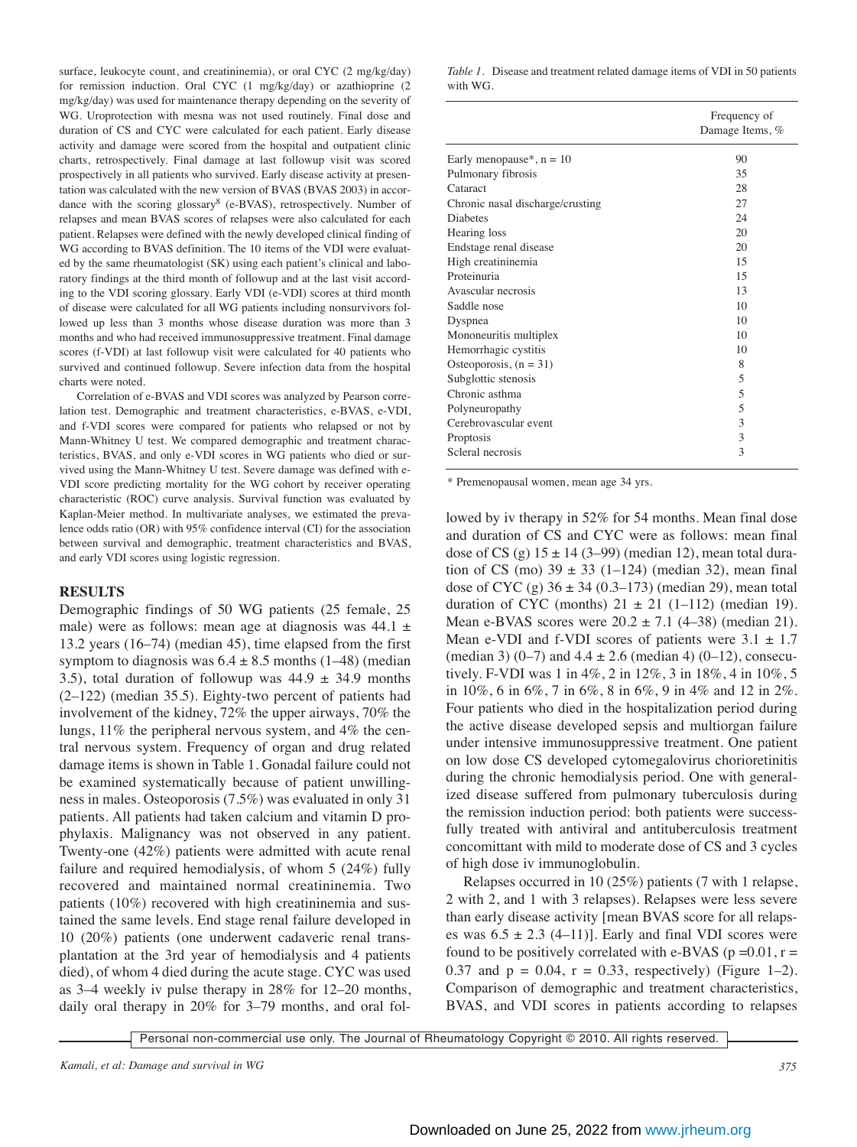surface, leukocyte count, and creatininemia), or oral CYC (2 mg/kg/day) for remission induction. Oral CYC (1 mg/kg/day) or azathioprine (2 mg/kg/day) was used for maintenance therapy depending on the severity of WG. Uroprotection with mesna was not used routinely. Final dose and duration of CS and CYC were calculated for each patient. Early disease activity and damage were scored from the hospital and outpatient clinic charts, retrospectively. Final damage at last followup visit was scored prospectively in all patients who survived. Early disease activity at presentation was calculated with the new version of BVAS (BVAS 2003) in accordance with the scoring glossary<sup>8</sup> (e-BVAS), retrospectively. Number of relapses and mean BVAS scores of relapses were also calculated for each patient. Relapses were defined with the newly developed clinical finding of WG according to BVAS definition. The 10 items of the VDI were evaluated by the same rheumatologist (SK) using each patient's clinical and laboratory findings at the third month of followup and at the last visit according to the VDI scoring glossary. Early VDI (e-VDI) scores at third month of disease were calculated for all WG patients including nonsurvivors followed up less than 3 months whose disease duration was more than 3 months and who had received immunosuppressive treatment. Final damage scores (f-VDI) at last followup visit were calculated for 40 patients who survived and continued followup. Severe infection data from the hospital charts were noted.

Correlation of e-BVAS and VDI scores was analyzed by Pearson correlation test. Demographic and treatment characteristics, e-BVAS, e-VDI, and f-VDI scores were compared for patients who relapsed or not by Mann-Whitney U test. We compared demographic and treatment characteristics, BVAS, and only e-VDI scores in WG patients who died or survived using the Mann-Whitney U test. Severe damage was defined with e-VDI score predicting mortality for the WG cohort by receiver operating characteristic (ROC) curve analysis. Survival function was evaluated by Kaplan-Meier method. In multivariate analyses, we estimated the prevalence odds ratio (OR) with 95% confidence interval (CI) for the association between survival and demographic, treatment characteristics and BVAS, and early VDI scores using logistic regression.

## **RESULTS**

Demographic findings of 50 WG patients (25 female, 25 male) were as follows: mean age at diagnosis was  $44.1 \pm$ 13.2 years (16–74) (median 45), time elapsed from the first symptom to diagnosis was  $6.4 \pm 8.5$  months (1–48) (median 3.5), total duration of followup was  $44.9 \pm 34.9$  months (2–122) (median 35.5). Eighty-two percent of patients had involvement of the kidney, 72% the upper airways, 70% the lungs, 11% the peripheral nervous system, and 4% the central nervous system. Frequency of organ and drug related damage items is shown in Table 1. Gonadal failure could not be examined systematically because of patient unwillingness in males. Osteoporosis (7.5%) was evaluated in only 31 patients. All patients had taken calcium and vitamin D prophylaxis. Malignancy was not observed in any patient. Twenty-one (42%) patients were admitted with acute renal failure and required hemodialysis, of whom 5 (24%) fully recovered and maintained normal creatininemia. Two patients (10%) recovered with high creatininemia and sustained the same levels. End stage renal failure developed in 10 (20%) patients (one underwent cadaveric renal transplantation at the 3rd year of hemodialysis and 4 patients died), of whom 4 died during the acute stage. CYC was used as 3–4 weekly iv pulse therapy in 28% for 12–20 months, daily oral therapy in 20% for 3–79 months, and oral fol-

*Table 1.* Disease and treatment related damage items of VDI in 50 patients with WG.

|                                  | Frequency of<br>Damage Items, % |  |  |
|----------------------------------|---------------------------------|--|--|
| Early menopause*, $n = 10$       | 90                              |  |  |
| Pulmonary fibrosis               | 35                              |  |  |
| Cataract                         | 28                              |  |  |
| Chronic nasal discharge/crusting | 27                              |  |  |
| <b>Diabetes</b>                  | 24                              |  |  |
| Hearing loss                     | 20                              |  |  |
| Endstage renal disease           | 20                              |  |  |
| High creatininemia               | 15                              |  |  |
| Proteinuria                      | 15                              |  |  |
| Avascular necrosis               | 13                              |  |  |
| Saddle nose                      | 10                              |  |  |
| Dyspnea                          | 10                              |  |  |
| Mononeuritis multiplex           | 10                              |  |  |
| Hemorrhagic cystitis             | 10                              |  |  |
| Osteoporosis, $(n = 31)$         | 8                               |  |  |
| Subglottic stenosis              | 5                               |  |  |
| Chronic asthma                   | 5                               |  |  |
| Polyneuropathy                   | 5                               |  |  |
| Cerebrovascular event            | 3                               |  |  |
| Proptosis                        | 3                               |  |  |
| Scleral necrosis                 | 3                               |  |  |

\* Premenopausal women, mean age 34 yrs.

lowed by iv therapy in 52% for 54 months. Mean final dose and duration of CS and CYC were as follows: mean final dose of CS (g)  $15 \pm 14$  (3–99) (median 12), mean total duration of CS (mo)  $39 \pm 33$  (1–124) (median 32), mean final dose of CYC (g)  $36 \pm 34$  (0.3–173) (median 29), mean total duration of CYC (months)  $21 \pm 21$  (1–112) (median 19). Mean e-BVAS scores were  $20.2 \pm 7.1$  (4–38) (median 21). Mean e-VDI and f-VDI scores of patients were  $3.1 \pm 1.7$ (median 3) (0–7) and  $4.4 \pm 2.6$  (median 4) (0–12), consecutively. F-VDI was 1 in 4%, 2 in 12%, 3 in 18%, 4 in 10%, 5 in 10%, 6 in 6%, 7 in 6%, 8 in 6%, 9 in 4% and 12 in 2%. Four patients who died in the hospitalization period during the active disease developed sepsis and multiorgan failure under intensive immunosuppressive treatment. One patient on low dose CS developed cytomegalovirus chorioretinitis during the chronic hemodialysis period. One with generalized disease suffered from pulmonary tuberculosis during the remission induction period: both patients were successfully treated with antiviral and antituberculosis treatment concomittant with mild to moderate dose of CS and 3 cycles of high dose iv immunoglobulin.

Relapses occurred in 10 (25%) patients (7 with 1 relapse, 2 with 2, and 1 with 3 relapses). Relapses were less severe than early disease activity [mean BVAS score for all relapses was  $6.5 \pm 2.3$  (4–11)]. Early and final VDI scores were found to be positively correlated with e-BVAS ( $p = 0.01$ ,  $r =$ 0.37 and  $p = 0.04$ ,  $r = 0.33$ , respectively) (Figure 1–2). Comparison of demographic and treatment characteristics, BVAS, and VDI scores in patients according to relapses

Personal non-commercial use only. The Journal of Rheumatology Copyright © 2010. All rights reserved.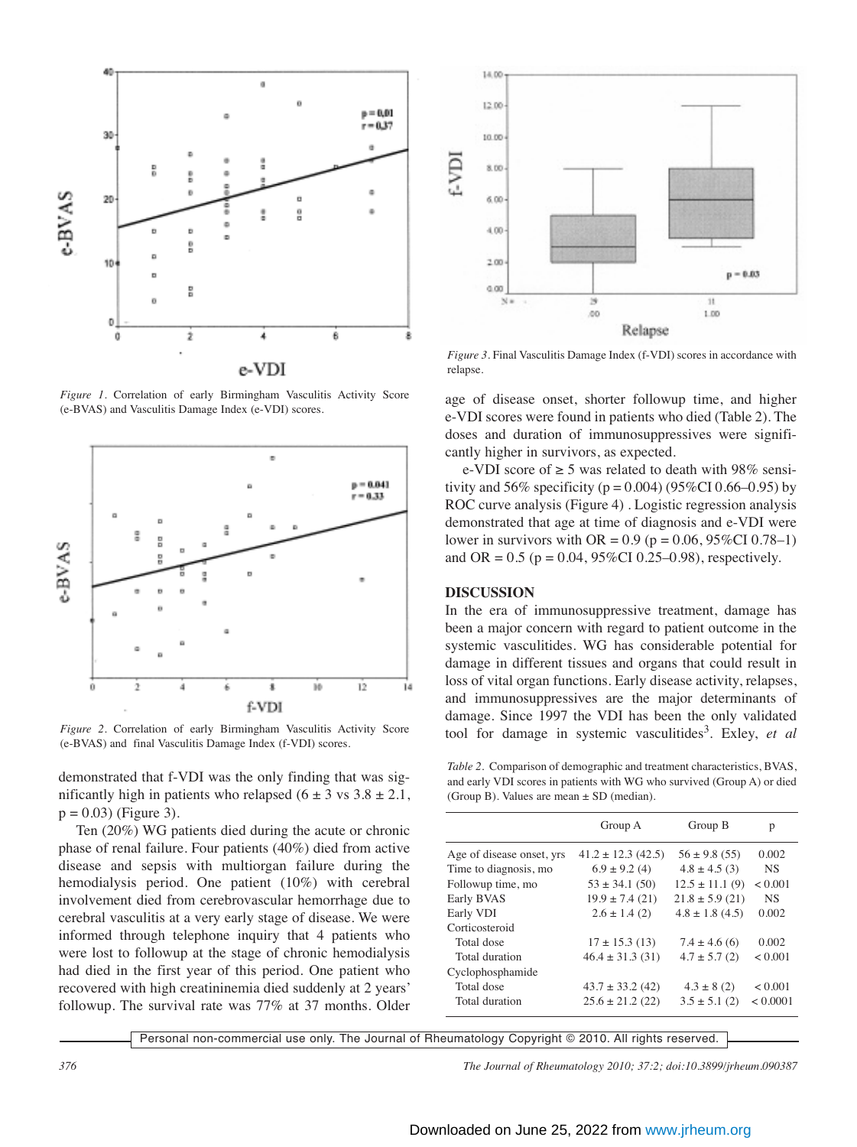

*Figure 1.* Correlation of early Birmingham Vasculitis Activity Score (e-BVAS) and Vasculitis Damage Index (e-VDI) scores.



*Figure 2.* Correlation of early Birmingham Vasculitis Activity Score (e-BVAS) and final Vasculitis Damage Index (f-VDI) scores.

demonstrated that f-VDI was the only finding that was significantly high in patients who relapsed  $(6 \pm 3 \text{ vs } 3.8 \pm 2.1,$  $p = 0.03$ ) (Figure 3).

Ten (20%) WG patients died during the acute or chronic phase of renal failure. Four patients (40%) died from active disease and sepsis with multiorgan failure during the hemodialysis period. One patient (10%) with cerebral involvement died from cerebrovascular hemorrhage due to cerebral vasculitis at a very early stage of disease. We were informed through telephone inquiry that 4 patients who were lost to followup at the stage of chronic hemodialysis had died in the first year of this period. One patient who recovered with high creatininemia died suddenly at 2 years' followup. The survival rate was 77% at 37 months. Older



*Figure 3.* Final Vasculitis Damage Index (f-VDI) scores in accordance with relapse.

age of disease onset, shorter followup time, and higher e-VDI scores were found in patients who died (Table 2). The doses and duration of immunosuppressives were significantly higher in survivors, as expected.

e-VDI score of  $\geq 5$  was related to death with 98% sensitivity and 56% specificity ( $p = 0.004$ ) (95%CI 0.66–0.95) by ROC curve analysis (Figure 4) . Logistic regression analysis demonstrated that age at time of diagnosis and e-VDI were lower in survivors with OR =  $0.9$  (p =  $0.06$ , 95%CI 0.78–1) and OR =  $0.5$  (p =  $0.04$ , 95%CI 0.25–0.98), respectively.

### **DISCUSSION**

In the era of immunosuppressive treatment, damage has been a major concern with regard to patient outcome in the systemic vasculitides. WG has considerable potential for damage in different tissues and organs that could result in loss of vital organ functions. Early disease activity, relapses, and immunosuppressives are the major determinants of damage. Since 1997 the VDI has been the only validated tool for damage in systemic vasculitides<sup>3</sup>. Exley, *et al* 

*Table 2.* Comparison of demographic and treatment characteristics, BVAS, and early VDI scores in patients with WG who survived (Group A) or died (Group B). Values are mean  $\pm$  SD (median).

|                           | Group A                | Group B             | р            |
|---------------------------|------------------------|---------------------|--------------|
| Age of disease onset, yrs | $41.2 \pm 12.3$ (42.5) | $56 \pm 9.8$ (55)   | 0.002        |
| Time to diagnosis, mo     | $6.9 \pm 9.2$ (4)      | $4.8 \pm 4.5$ (3)   | <b>NS</b>    |
| Followup time, mo         | $53 \pm 34.1$ (50)     | $12.5 \pm 11.1(9)$  | ${}_{0.001}$ |
| Early BVAS                | $19.9 \pm 7.4$ (21)    | $21.8 \pm 5.9$ (21) | <b>NS</b>    |
| Early VDI                 | $2.6 \pm 1.4(2)$       | $4.8 \pm 1.8$ (4.5) | 0.002        |
| Corticosteroid            |                        |                     |              |
| Total dose                | $17 \pm 15.3$ (13)     | $7.4 \pm 4.6(6)$    | 0.002        |
| Total duration            | $46.4 \pm 31.3(31)$    | $4.7 \pm 5.7$ (2)   | < 0.001      |
| Cyclophosphamide          |                        |                     |              |
| Total dose                | $43.7 \pm 33.2$ (42)   | $4.3 \pm 8(2)$      | < 0.001      |
| Total duration            | $25.6 \pm 21.2$ (22)   | $3.5 \pm 5.1$ (2)   | < 0.0001     |

Personal non-commercial use only. The Journal of Rheumatology Copyright © 2010. All rights reserved.

*376 The Journal of Rheumatology 2010; 37:2; doi:10.3899/jrheum.090387*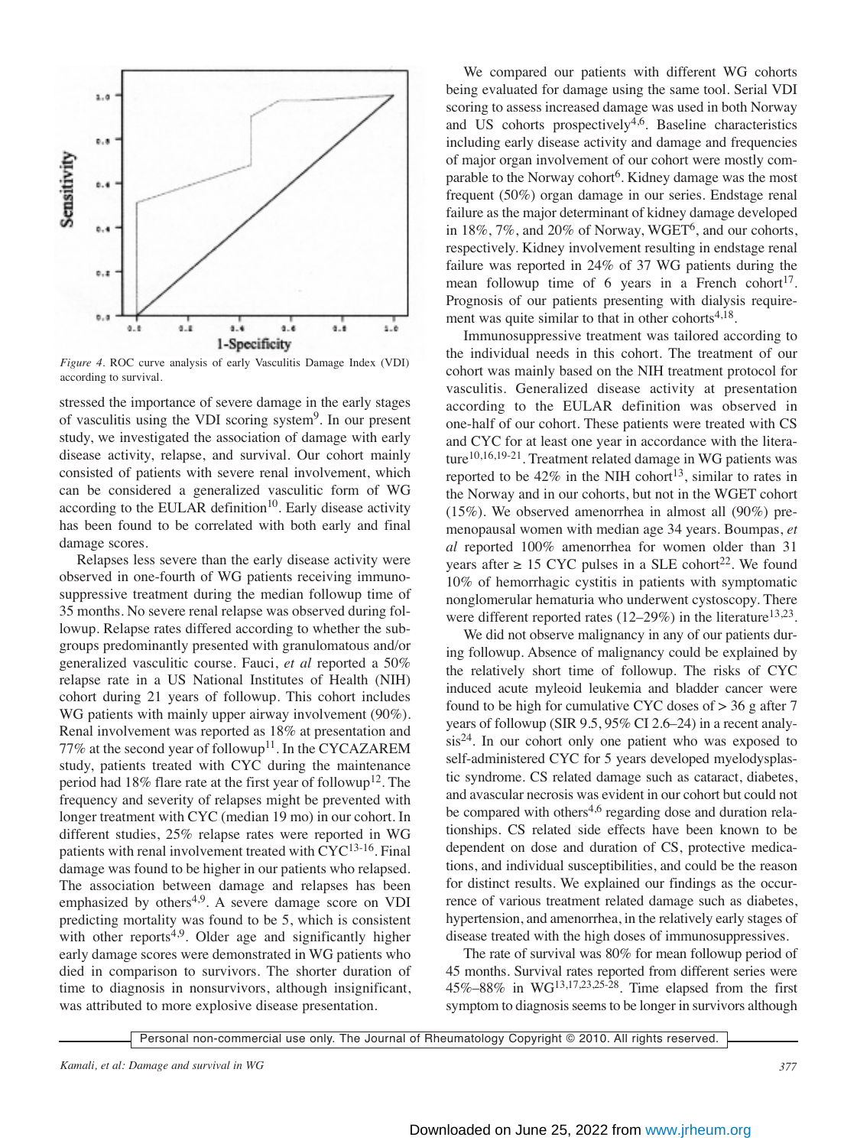

*Figure 4.* ROC curve analysis of early Vasculitis Damage Index (VDI) according to survival.

stressed the importance of severe damage in the early stages of vasculitis using the VDI scoring system9. In our present study, we investigated the association of damage with early disease activity, relapse, and survival. Our cohort mainly consisted of patients with severe renal involvement, which can be considered a generalized vasculitic form of WG according to the EULAR definition<sup>10</sup>. Early disease activity has been found to be correlated with both early and final damage scores.

Relapses less severe than the early disease activity were observed in one-fourth of WG patients receiving immunosuppressive treatment during the median followup time of 35 months. No severe renal relapse was observed during followup. Relapse rates differed according to whether the subgroups predominantly presented with granulomatous and/or generalized vasculitic course. Fauci, *et al* reported a 50% relapse rate in a US National Institutes of Health (NIH) cohort during 21 years of followup. This cohort includes WG patients with mainly upper airway involvement (90%). Renal involvement was reported as 18% at presentation and 77% at the second year of followup<sup>11</sup>. In the CYCAZAREM study, patients treated with CYC during the maintenance period had 18% flare rate at the first year of followup<sup>12</sup>. The frequency and severity of relapses might be prevented with longer treatment with CYC (median 19 mo) in our cohort. In different studies, 25% relapse rates were reported in WG patients with renal involvement treated with CYC<sup>13-16</sup>. Final damage was found to be higher in our patients who relapsed. The association between damage and relapses has been emphasized by others<sup>4,9</sup>. A severe damage score on VDI predicting mortality was found to be 5, which is consistent with other reports<sup>4,9</sup>. Older age and significantly higher early damage scores were demonstrated in WG patients who died in comparison to survivors. The shorter duration of time to diagnosis in nonsurvivors, although insignificant, was attributed to more explosive disease presentation.

We compared our patients with different WG cohorts being evaluated for damage using the same tool. Serial VDI scoring to assess increased damage was used in both Norway and US cohorts prospectively<sup>4,6</sup>. Baseline characteristics including early disease activity and damage and frequencies of major organ involvement of our cohort were mostly comparable to the Norway cohort<sup>6</sup>. Kidney damage was the most frequent (50%) organ damage in our series. Endstage renal failure as the major determinant of kidney damage developed in 18%, 7%, and 20% of Norway, WGET<sup>6</sup>, and our cohorts, respectively. Kidney involvement resulting in endstage renal failure was reported in 24% of 37 WG patients during the mean followup time of 6 years in a French cohort<sup>17</sup>. Prognosis of our patients presenting with dialysis requirement was quite similar to that in other cohorts $4,18$ .

Immunosuppressive treatment was tailored according to the individual needs in this cohort. The treatment of our cohort was mainly based on the NIH treatment protocol for vasculitis. Generalized disease activity at presentation according to the EULAR definition was observed in one-half of our cohort. These patients were treated with CS and CYC for at least one year in accordance with the literature $10,16,19-21$ . Treatment related damage in WG patients was reported to be  $42\%$  in the NIH cohort<sup>13</sup>, similar to rates in the Norway and in our cohorts, but not in the WGET cohort (15%). We observed amenorrhea in almost all (90%) premenopausal women with median age 34 years. Boumpas, *et al* reported 100% amenorrhea for women older than 31 years after ≥ 15 CYC pulses in a SLE cohort<sup>22</sup>. We found 10% of hemorrhagic cystitis in patients with symptomatic nonglomerular hematuria who underwent cystoscopy. There were different reported rates  $(12-29%)$  in the literature<sup>13,23</sup>.

We did not observe malignancy in any of our patients during followup. Absence of malignancy could be explained by the relatively short time of followup. The risks of CYC induced acute myleoid leukemia and bladder cancer were found to be high for cumulative CYC doses of  $> 36$  g after 7 years of followup (SIR 9.5, 95% CI 2.6–24) in a recent analysis24. In our cohort only one patient who was exposed to self-administered CYC for 5 years developed myelodysplastic syndrome. CS related damage such as cataract, diabetes, and avascular necrosis was evident in our cohort but could not be compared with others<sup>4,6</sup> regarding dose and duration relationships. CS related side effects have been known to be dependent on dose and duration of CS, protective medications, and individual susceptibilities, and could be the reason for distinct results. We explained our findings as the occurrence of various treatment related damage such as diabetes, hypertension, and amenorrhea, in the relatively early stages of disease treated with the high doses of immunosuppressives.

The rate of survival was 80% for mean followup period of 45 months. Survival rates reported from different series were 45%–88% in WG13,17,23,25-28. Time elapsed from the first symptom to diagnosis seems to be longer in survivors although

Personal non-commercial use only. The Journal of Rheumatology Copyright © 2010. All rights reserved.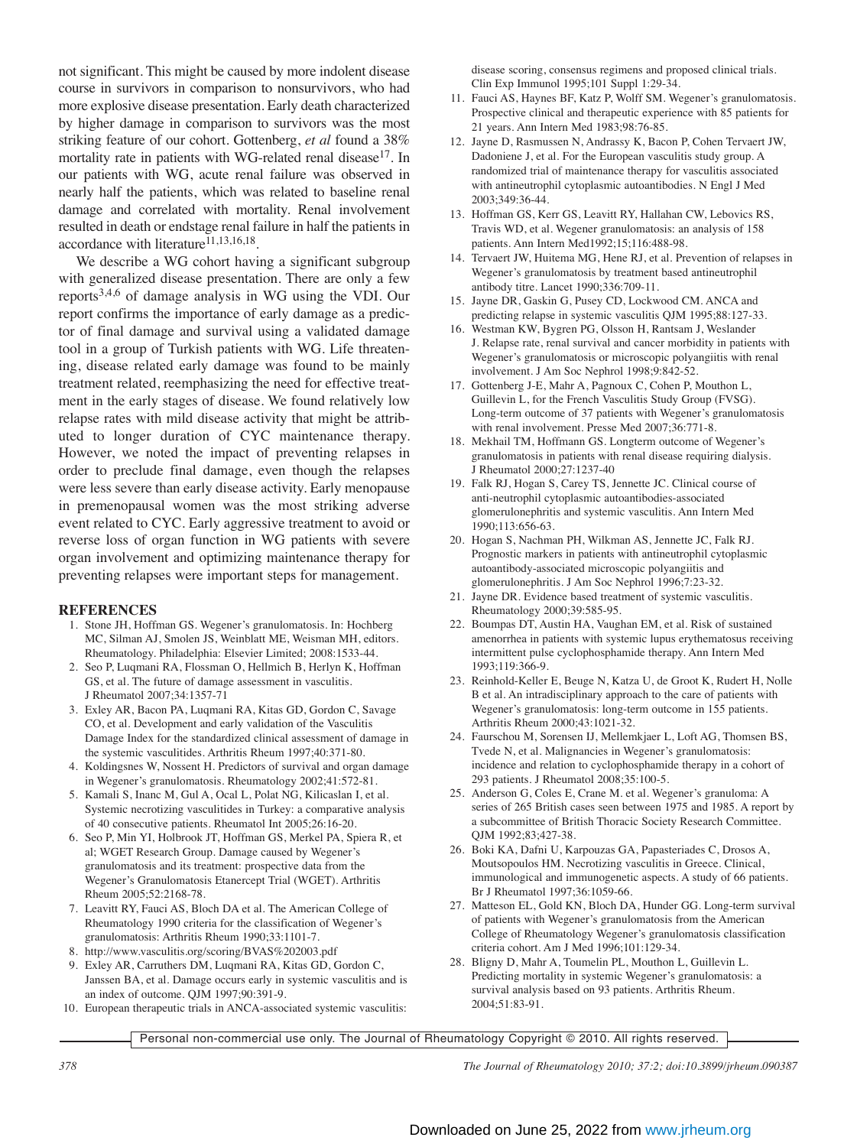not significant. This might be caused by more indolent disease course in survivors in comparison to nonsurvivors, who had more explosive disease presentation. Early death characterized by higher damage in comparison to survivors was the most striking feature of our cohort. Gottenberg, *et al* found a 38% mortality rate in patients with WG-related renal disease<sup>17</sup>. In our patients with WG, acute renal failure was observed in nearly half the patients, which was related to baseline renal damage and correlated with mortality. Renal involvement resulted in death or endstage renal failure in half the patients in accordance with literature $^{11,13,16,18}$ .

We describe a WG cohort having a significant subgroup with generalized disease presentation. There are only a few reports3,4,6 of damage analysis in WG using the VDI. Our report confirms the importance of early damage as a predictor of final damage and survival using a validated damage tool in a group of Turkish patients with WG. Life threatening, disease related early damage was found to be mainly treatment related, reemphasizing the need for effective treatment in the early stages of disease. We found relatively low relapse rates with mild disease activity that might be attributed to longer duration of CYC maintenance therapy. However, we noted the impact of preventing relapses in order to preclude final damage, even though the relapses were less severe than early disease activity. Early menopause in premenopausal women was the most striking adverse event related to CYC. Early aggressive treatment to avoid or reverse loss of organ function in WG patients with severe organ involvement and optimizing maintenance therapy for preventing relapses were important steps for management.

## **REFERENCES**

- 1. Stone JH, Hoffman GS. Wegener's granulomatosis. In: Hochberg MC, Silman AJ, Smolen JS, Weinblatt ME, Weisman MH, editors. Rheumatology. Philadelphia: Elsevier Limited; 2008:1533-44.
- 2. Seo P, Luqmani RA, Flossman O, Hellmich B, Herlyn K, Hoffman GS, et al. The future of damage assessment in vasculitis. J Rheumatol 2007;34:1357-71
- 3. Exley AR, Bacon PA, Luqmani RA, Kitas GD, Gordon C, Savage CO, et al. Development and early validation of the Vasculitis Damage Index for the standardized clinical assessment of damage in the systemic vasculitides. Arthritis Rheum 1997;40:371-80.
- 4. Koldingsnes W, Nossent H. Predictors of survival and organ damage in Wegener's granulomatosis. Rheumatology 2002;41:572-81.
- 5. Kamali S, Inanc M, Gul A, Ocal L, Polat NG, Kilicaslan I, et al. Systemic necrotizing vasculitides in Turkey: a comparative analysis of 40 consecutive patients. Rheumatol Int 2005;26:16-20.
- 6. Seo P, Min YI, Holbrook JT, Hoffman GS, Merkel PA, Spiera R, et al; WGET Research Group. Damage caused by Wegener's granulomatosis and its treatment: prospective data from the Wegener's Granulomatosis Etanercept Trial (WGET). Arthritis Rheum 2005;52:2168-78.
- 7. Leavitt RY, Fauci AS, Bloch DA et al. The American College of Rheumatology 1990 criteria for the classification of Wegener's granulomatosis: Arthritis Rheum 1990;33:1101-7.
- 8. http://www.vasculitis.org/scoring/BVAS%202003.pdf
- 9. Exley AR, Carruthers DM, Luqmani RA, Kitas GD, Gordon C, Janssen BA, et al. Damage occurs early in systemic vasculitis and is an index of outcome. QJM 1997;90:391-9.
- 10. European therapeutic trials in ANCA-associated systemic vasculitis:

disease scoring, consensus regimens and proposed clinical trials. Clin Exp Immunol 1995;101 Suppl 1:29-34.

- 11. Fauci AS, Haynes BF, Katz P, Wolff SM. Wegener's granulomatosis. Prospective clinical and therapeutic experience with 85 patients for 21 years. Ann Intern Med 1983;98:76-85.
- 12. Jayne D, Rasmussen N, Andrassy K, Bacon P, Cohen Tervaert JW, Dadoniene J, et al. For the European vasculitis study group. A randomized trial of maintenance therapy for vasculitis associated with antineutrophil cytoplasmic autoantibodies. N Engl J Med 2003;349:36-44.
- 13. Hoffman GS, Kerr GS, Leavitt RY, Hallahan CW, Lebovics RS, Travis WD, et al. Wegener granulomatosis: an analysis of 158 patients. Ann Intern Med1992;15;116:488-98.
- 14. Tervaert JW, Huitema MG, Hene RJ, et al. Prevention of relapses in Wegener's granulomatosis by treatment based antineutrophil antibody titre. Lancet 1990;336:709-11.
- 15. Jayne DR, Gaskin G, Pusey CD, Lockwood CM. ANCA and predicting relapse in systemic vasculitis QJM 1995;88:127-33.
- 16. Westman KW, Bygren PG, Olsson H, Rantsam J, Weslander J. Relapse rate, renal survival and cancer morbidity in patients with Wegener's granulomatosis or microscopic polyangiitis with renal involvement. J Am Soc Nephrol 1998;9:842-52.
- 17. Gottenberg J-E, Mahr A, Pagnoux C, Cohen P, Mouthon L, Guillevin L, for the French Vasculitis Study Group (FVSG). Long-term outcome of 37 patients with Wegener's granulomatosis with renal involvement. Presse Med 2007;36:771-8.
- 18. Mekhail TM, Hoffmann GS. Longterm outcome of Wegener's granulomatosis in patients with renal disease requiring dialysis. J Rheumatol 2000;27:1237-40
- 19. Falk RJ, Hogan S, Carey TS, Jennette JC. Clinical course of anti-neutrophil cytoplasmic autoantibodies-associated glomerulonephritis and systemic vasculitis. Ann Intern Med 1990;113:656-63.
- 20. Hogan S, Nachman PH, Wilkman AS, Jennette JC, Falk RJ. Prognostic markers in patients with antineutrophil cytoplasmic autoantibody-associated microscopic polyangiitis and glomerulonephritis. J Am Soc Nephrol 1996;7:23-32.
- 21. Jayne DR. Evidence based treatment of systemic vasculitis. Rheumatology 2000;39:585-95.
- 22. Boumpas DT, Austin HA, Vaughan EM, et al. Risk of sustained amenorrhea in patients with systemic lupus erythematosus receiving intermittent pulse cyclophosphamide therapy. Ann Intern Med 1993;119:366-9.
- 23. Reinhold-Keller E, Beuge N, Katza U, de Groot K, Rudert H, Nolle B et al. An intradisciplinary approach to the care of patients with Wegener's granulomatosis: long-term outcome in 155 patients. Arthritis Rheum 2000;43:1021-32.
- 24. Faurschou M, Sorensen IJ, Mellemkjaer L, Loft AG, Thomsen BS, Tvede N, et al. Malignancies in Wegener's granulomatosis: incidence and relation to cyclophosphamide therapy in a cohort of 293 patients. J Rheumatol 2008;35:100-5.
- 25. Anderson G, Coles E, Crane M. et al. Wegener's granuloma: A series of 265 British cases seen between 1975 and 1985. A report by a subcommittee of British Thoracic Society Research Committee. QJM 1992;83;427-38.
- 26. Boki KA, Dafni U, Karpouzas GA, Papasteriades C, Drosos A, Moutsopoulos HM. Necrotizing vasculitis in Greece. Clinical, immunological and immunogenetic aspects. A study of 66 patients. Br J Rheumatol 1997;36:1059-66.
- 27. Matteson EL, Gold KN, Bloch DA, Hunder GG. Long-term survival of patients with Wegener's granulomatosis from the American College of Rheumatology Wegener's granulomatosis classification criteria cohort. Am J Med 1996;101:129-34.
- 28. Bligny D, Mahr A, Toumelin PL, Mouthon L, Guillevin L. Predicting mortality in systemic Wegener's granulomatosis: a survival analysis based on 93 patients. Arthritis Rheum. 2004;51:83-91.

Personal non-commercial use only. The Journal of Rheumatology Copyright © 2010. All rights reserved.